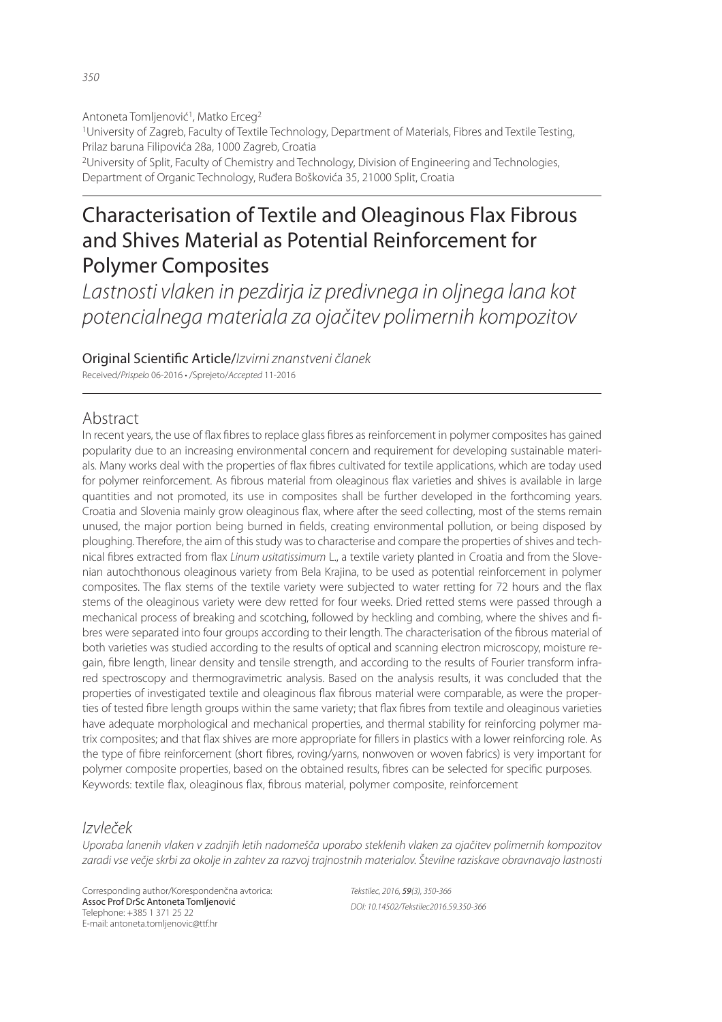Antoneta Tomljenović<sup>1</sup>, Matko Erceg<sup>2</sup> <sup>1</sup>University of Zagreb, Faculty of Textile Technology, Department of Materials, Fibres and Textile Testing, Prilaz baruna Filipovića 28a, 1000 Zagreb, Croatia <sup>2</sup>University of Split, Faculty of Chemistry and Technology, Division of Engineering and Technologies,

Department of Organic Technology, Ruđera Boškovića 35, 21000 Split, Croatia

# Characterisation of Textile and Oleaginous Flax Fibrous and Shives Material as Potential Reinforcement for Polymer Composites

*Lastnosti vlaken in pezdirja iz predivnega in oljnega lana kot potencialnega materiala za ojačitev polimernih kompozitov*

Original Scienti! c Article/*Izvirni znanstveni članek*

Received/*Prispelo* 06-2016 • /Sprejeto/*Accepted* 11-2016

# Abstract

In recent years, the use of flax fibres to replace glass fibres as reinforcement in polymer composites has gained popularity due to an increasing environmental concern and requirement for developing sustainable materials. Many works deal with the properties of flax fibres cultivated for textile applications, which are today used for polymer reinforcement. As fibrous material from oleaginous flax varieties and shives is available in large quantities and not promoted, its use in composites shall be further developed in the forthcoming years. Croatia and Slovenia mainly grow oleaginous flax, where after the seed collecting, most of the stems remain unused, the major portion being burned in fields, creating environmental pollution, or being disposed by ploughing. Therefore, the aim of this study was to characterise and compare the properties of shives and technical fibres extracted from flax *Linum usitatissimum* L., a textile variety planted in Croatia and from the Slovenian autochthonous oleaginous variety from Bela Krajina, to be used as potential reinforcement in polymer composites. The flax stems of the textile variety were subjected to water retting for 72 hours and the flax stems of the oleaginous variety were dew retted for four weeks. Dried retted stems were passed through a mechanical process of breaking and scotching, followed by heckling and combing, where the shives and fibres were separated into four groups according to their length. The characterisation of the fibrous material of both varieties was studied according to the results of optical and scanning electron microscopy, moisture regain, fibre length, linear density and tensile strength, and according to the results of Fourier transform infrared spectroscopy and thermogravimetric analysis. Based on the analysis results, it was concluded that the properties of investigated textile and oleaginous flax fibrous material were comparable, as were the properties of tested fibre length groups within the same variety; that flax fibres from textile and oleaginous varieties have adequate morphological and mechanical properties, and thermal stability for reinforcing polymer matrix composites; and that flax shives are more appropriate for fillers in plastics with a lower reinforcing role. As the type of fibre reinforcement (short fibres, roving/yarns, nonwoven or woven fabrics) is very important for polymer composite properties, based on the obtained results, fibres can be selected for specific purposes. Keywords: textile flax, oleaginous flax, fibrous material, polymer composite, reinforcement

# *Izvleček*

*Uporaba lanenih vlaken v zadnjih letih nadomešča uporabo steklenih vlaken za ojačitev polimernih kompozitov zaradi vse večje skrbi za okolje in zahtev za razvoj trajnostnih materialov. Številne raziskave obravnavajo lastnosti* 

Corresponding author/Korespondenčna avtorica: Assoc Prof DrSc Antoneta Tomljenović Telephone: +385 1 371 25 22 E-mail: antoneta.tomljenovic@ttf.hr

*Tekstilec, 2016,* 59*(3), 350-366 DOI: 10.14502/Tekstilec2016.59.350-366*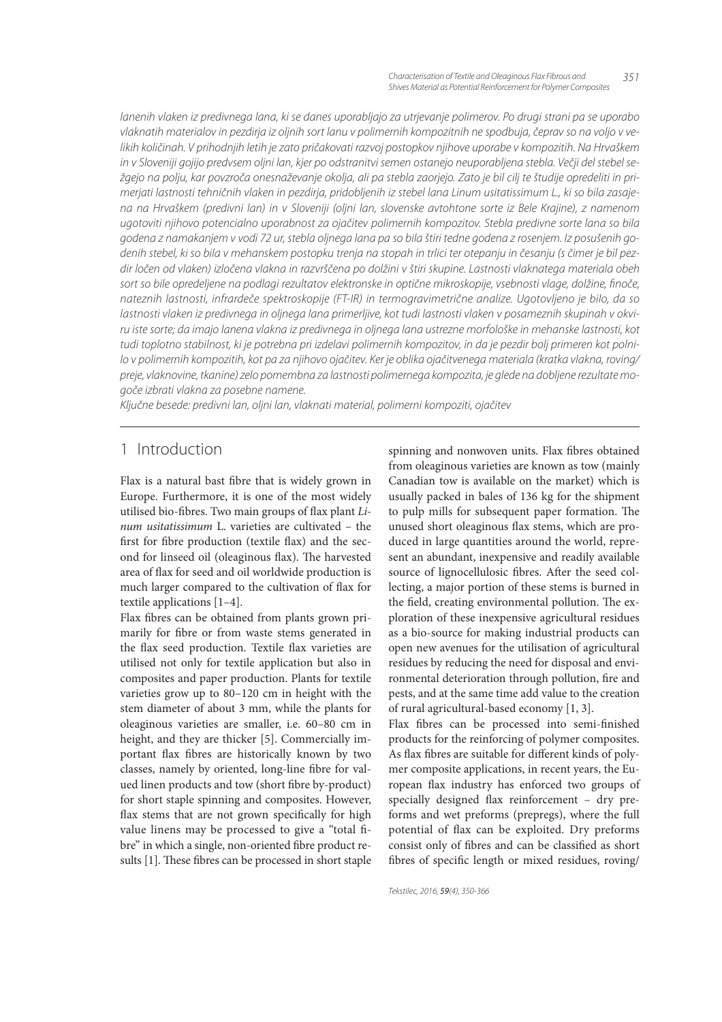*lanenih vlaken iz predivnega lana, ki se danes uporabljajo za utrjevanje polimerov. Po drugi strani pa se uporabo vlaknatih materialov in pezdirja iz oljnih sort lanu v polimernih kompozitnih ne spodbuja, čeprav so na voljo v velikih količinah. V prihodnjih letih je zato pričakovati razvoj postopkov njihove uporabe v kompozitih. Na Hrvaškem in v Sloveniji gojijo predvsem oljni lan, kjer po odstranitvi semen ostanejo neuporabljena stebla. Večji del stebel sežgejo na polju, kar povzroča onesnaževanje okolja, ali pa stebla zaorjejo. Zato je bil cilj te študije opredeliti in primerjati lastnosti tehničnih vlaken in pezdirja, pridobljenih iz stebel lana Linum usitatissimum L., ki so bila zasajena na Hrvaškem (predivni lan) in v Sloveniji (oljni lan, slovenske avtohtone sorte iz Bele Krajine), z namenom ugotoviti njihovo potencialno uporabnost za ojačitev polimernih kompozitov. Stebla predivne sorte lana so bila godena z namakanjem v vodi 72 ur, stebla oljnega lana pa so bila štiri tedne godena z rosenjem. Iz posušenih godenih stebel, ki so bila v mehanskem postopku trenja na stopah in trlici ter otepanju in česanju (s čimer je bil pezdir ločen od vlaken) izločena vlakna in razvrščena po dolžini v štiri skupine. Lastnosti vlaknatega materiala obeh*  sort so bile opredeljene na podlagi rezultatov elektronske in optične mikroskopije, vsebnosti vlage, dolžine, finoče, *nateznih lastnosti, infrardeče spektroskopije (FT-IR) in termogravimetrične analize. Ugotovljeno je bilo, da so*  lastnosti vlaken iz predivnega in oljnega lana primerljive, kot tudi lastnosti vlaken v posameznih skupinah v okvi*ru iste sorte; da imajo lanena vlakna iz predivnega in oljnega lana ustrezne morfološke in mehanske lastnosti, kot tudi toplotno stabilnost, ki je potrebna pri izdelavi polimernih kompozitov, in da je pezdir bolj primeren kot polnilo v polimernih kompozitih, kot pa za njihovo ojačitev. Ker je oblika ojačitvenega materiala (kratka vlakna, roving/ preje, vlaknovine, tkanine) zelo pomembna za lastnosti polimernega kompozita, je glede na dobljene rezultate mogoče izbrati vlakna za posebne namene.*

*Ključne besede: predivni lan, oljni lan, vlaknati material, polimerni kompoziti, ojačitev*

# 1 Introduction

Flax is a natural bast fibre that is widely grown in Europe. Furthermore, it is one of the most widely utilised bio-fibres. Two main groups of flax plant  $Li$ num usitatissimum L. varieties are cultivated – the first for fibre production (textile flax) and the second for linseed oil (oleaginous flax). The harvested area of flax for seed and oil worldwide production is much larger compared to the cultivation of flax for textile applications [1–4].

Flax fibres can be obtained from plants grown primarily for fibre or from waste stems generated in the flax seed production. Textile flax varieties are utilised not only for textile application but also in composites and paper production. Plants for textile varieties grow up to 80–120 cm in height with the stem diameter of about 3 mm, while the plants for oleaginous varieties are smaller, i.e. 60–80 cm in height, and they are thicker [5]. Commercially important flax fibres are historically known by two classes, namely by oriented, long-line fibre for valued linen products and tow (short fibre by-product) for short staple spinning and composites. However, flax stems that are not grown specifically for high value linens may be processed to give a "total fibre" in which a single, non-oriented fibre product results [1]. These fibres can be processed in short staple

spinning and nonwoven units. Flax fibres obtained from oleaginous varieties are known as tow (mainly Canadian tow is available on the market) which is usually packed in bales of 136 kg for the shipment to pulp mills for subsequent paper formation. The unused short oleaginous flax stems, which are produced in large quantities around the world, represent an abundant, inexpensive and readily available source of lignocellulosic fibres. After the seed collecting, a major portion of these stems is burned in the field, creating environmental pollution. The exploration of these inexpensive agricultural residues as a bio-source for making industrial products can open new avenues for the utilisation of agricultural residues by reducing the need for disposal and environmental deterioration through pollution, fire and pests, and at the same time add value to the creation of rural agricultural-based economy [1, 3].

Flax fibres can be processed into semi-finished products for the reinforcing of polymer composites. As flax fibres are suitable for different kinds of polymer composite applications, in recent years, the European flax industry has enforced two groups of specially designed flax reinforcement  $-$  dry preforms and wet preforms (prepregs), where the full potential of flax can be exploited. Dry preforms consist only of fibres and can be classified as short fibres of specific length or mixed residues, roving/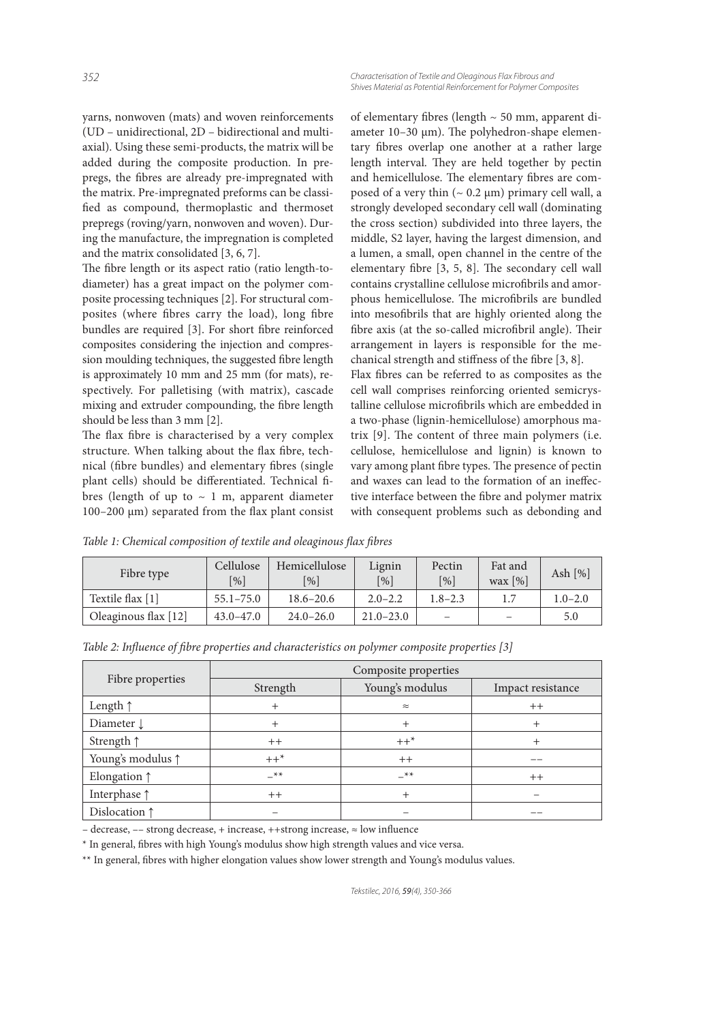yarns, nonwoven (mats) and woven reinforcements (UD – unidirectional, 2D – bidirectional and multiaxial). Using these semi-products, the matrix will be added during the composite production. In prepregs, the fibres are already pre-impregnated with the matrix. Pre-impregnated preforms can be classi fied as compound, thermoplastic and thermoset prepregs (roving/yarn, nonwoven and woven). During the manufacture, the impregnation is completed and the matrix consolidated [3, 6, 7].

The fibre length or its aspect ratio (ratio length-todiameter) has a great impact on the polymer composite processing techniques [2]. For structural composites (where fibres carry the load), long fibre bundles are required [3]. For short fibre reinforced composites considering the injection and compression moulding techniques, the suggested fibre length is approximately 10 mm and 25 mm (for mats), respectively. For palletising (with matrix), cascade mixing and extruder compounding, the fibre length should be less than 3 mm [2].

The flax fibre is characterised by a very complex structure. When talking about the flax fibre, technical (fibre bundles) and elementary fibres (single plant cells) should be differentiated. Technical fibres (length of up to  $\sim 1$  m, apparent diameter  $100-200 \mu m$ ) separated from the flax plant consist

of elementary fibres (length  $\sim$  50 mm, apparent diameter  $10-30 \mu m$ ). The polyhedron-shape elementary fibres overlap one another at a rather large length interval. They are held together by pectin and hemicellulose. The elementary fibres are composed of a very thin  $($   $\sim$  0.2  $\mu$ m) primary cell wall, a strongly developed secondary cell wall (dominating the cross section) subdivided into three layers, the middle, S2 layer, having the largest dimension, and a lumen, a small, open channel in the centre of the elementary fibre  $[3, 5, 8]$ . The secondary cell wall contains crystalline cellulose microfibrils and amorphous hemicellulose. The microfibrils are bundled into mesofibrils that are highly oriented along the fibre axis (at the so-called microfibril angle). Their arrangement in layers is responsible for the mechanical strength and stiffness of the fibre  $[3, 8]$ .

Flax fibres can be referred to as composites as the cell wall comprises reinforcing oriented semicrystalline cellulose microfibrils which are embedded in a two-phase (lignin-hemicellulose) amorphous matrix  $[9]$ . The content of three main polymers (i.e. cellulose, hemicellulose and lignin) is known to vary among plant fibre types. The presence of pectin and waxes can lead to the formation of an ineffective interface between the fibre and polymer matrix with consequent problems such as debonding and

Table 1: Chemical composition of textile and oleaginous flax fibres

| Fibre type             | Cellulose<br>$\lceil \% \rceil$ | Hemicellulose<br>$\lceil \frac{9}{0} \rceil$ | Lignin<br>$\lceil % \rceil$ | Pectin<br>[%]            | Fat and<br>wax $[%]$ | Ash $[\%]$  |
|------------------------|---------------------------------|----------------------------------------------|-----------------------------|--------------------------|----------------------|-------------|
| Textile flax [1]       | $55.1 - 75.0$                   | $18.6 - 20.6$                                | $2.0 - 2.2$                 | $1.8 - 2.3$              |                      | $1.0 - 2.0$ |
| Oleaginous flax $[12]$ | $43.0 - 47.0$                   | $24.0 - 26.0$                                | $21.0 - 23.0$               | $\overline{\phantom{0}}$ | -                    | 5.0         |

| Table 2: Influence of fibre properties and characteristics on polymer composite properties [3] |  |  |  |  |  |
|------------------------------------------------------------------------------------------------|--|--|--|--|--|
|------------------------------------------------------------------------------------------------|--|--|--|--|--|

|                            | Composite properties        |           |                   |  |  |  |
|----------------------------|-----------------------------|-----------|-------------------|--|--|--|
| Fibre properties           | Young's modulus<br>Strength |           | Impact resistance |  |  |  |
| Length $\uparrow$          | $^{+}$                      | $\approx$ | $++$              |  |  |  |
| Diameter $\downarrow$      |                             | $^{+}$    |                   |  |  |  |
| Strength $\uparrow$        | $++$                        | $++^*$    |                   |  |  |  |
| Young's modulus $\uparrow$ | $++^*$                      | $++$      |                   |  |  |  |
| Elongation $\uparrow$      | $-$ **                      | $-$ **    | $++$              |  |  |  |
| Interphase $\uparrow$      | $++$                        | $^{+}$    |                   |  |  |  |
| Dislocation 1              |                             |           |                   |  |  |  |

– decrease,  $-$  strong decrease, + increase, ++strong increase,  $\approx$  low influence

\* In general, bres with high Young's modulus show high strength values and vice versa.

\*\* In general, fibres with higher elongation values show lower strength and Young's modulus values.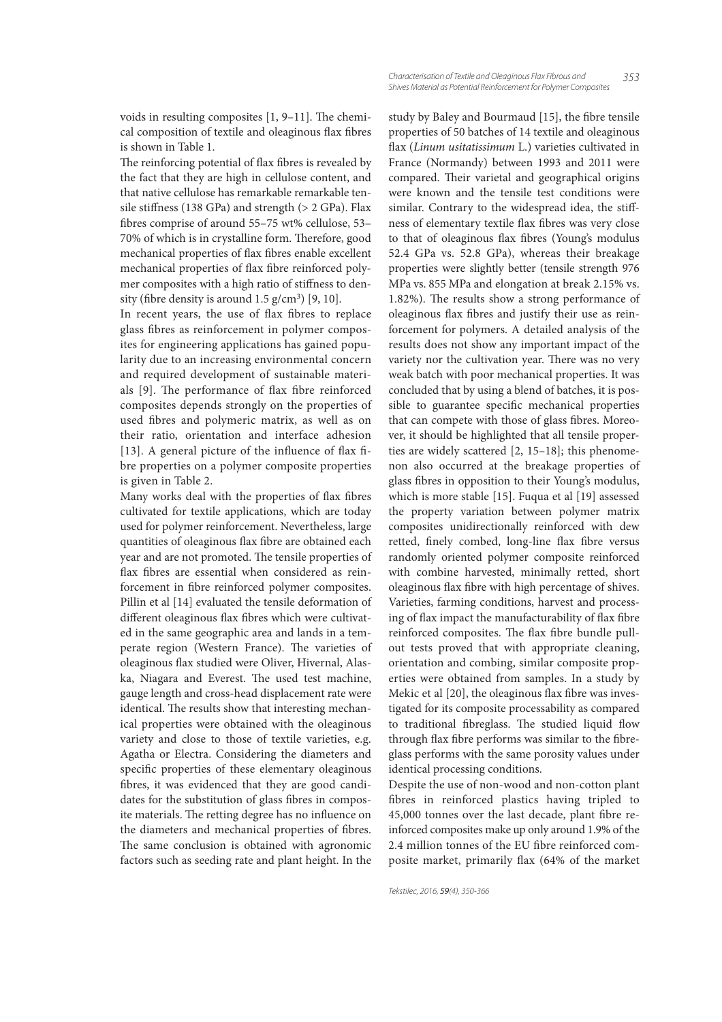voids in resulting composites  $[1, 9-11]$ . The chemical composition of textile and oleaginous flax fibres is shown in Table 1.

The reinforcing potential of flax fibres is revealed by the fact that they are high in cellulose content, and that native cellulose has remarkable remarkable tensile stiffness (138 GPa) and strength ( $> 2$  GPa). Flax bres comprise of around 55–75 wt% cellulose, 53– 70% of which is in crystalline form. Therefore, good mechanical properties of flax fibres enable excellent mechanical properties of flax fibre reinforced polymer composites with a high ratio of stiffness to density (fibre density is around  $1.5$  g/cm<sup>3</sup>) [9, 10].

In recent years, the use of flax fibres to replace glass fibres as reinforcement in polymer composites for engineering applications has gained popularity due to an increasing environmental concern and required development of sustainable materials [9]. The performance of flax fibre reinforced composites depends strongly on the properties of used fibres and polymeric matrix, as well as on their ratio, orientation and interface adhesion [13]. A general picture of the influence of flax fibre properties on a polymer composite properties is given in Table 2.

Many works deal with the properties of flax fibres cultivated for textile applications, which are today used for polymer reinforcement. Nevertheless, large quantities of oleaginous flax fibre are obtained each year and are not promoted. The tensile properties of flax fibres are essential when considered as reinforcement in fibre reinforced polymer composites. Pillin et al [14] evaluated the tensile deformation of different oleaginous flax fibres which were cultivated in the same geographic area and lands in a temperate region (Western France). The varieties of oleaginous flax studied were Oliver, Hivernal, Alaska, Niagara and Everest. The used test machine, gauge length and cross-head displacement rate were identical. The results show that interesting mechanical properties were obtained with the oleaginous variety and close to those of textile varieties, e.g. Agatha or Electra. Considering the diameters and specific properties of these elementary oleaginous bres, it was evidenced that they are good candidates for the substitution of glass fibres in composite materials. The retting degree has no influence on the diameters and mechanical properties of fibres. The same conclusion is obtained with agronomic factors such as seeding rate and plant height. In the

study by Baley and Bourmaud [15], the fibre tensile properties of 50 batches of 14 textile and oleaginous flax (Linum usitatissimum L.) varieties cultivated in France (Normandy) between 1993 and 2011 were compared. Their varietal and geographical origins were known and the tensile test conditions were similar. Contrary to the widespread idea, the stiffness of elementary textile flax fibres was very close to that of oleaginous flax fibres (Young's modulus 52.4 GPa vs. 52.8 GPa), whereas their breakage properties were slightly better (tensile strength 976 MPa vs. 855 MPa and elongation at break 2.15% vs. 1.82%). The results show a strong performance of oleaginous flax fibres and justify their use as reinforcement for polymers. A detailed analysis of the results does not show any important impact of the variety nor the cultivation year. There was no very weak batch with poor mechanical properties. It was concluded that by using a blend of batches, it is possible to guarantee specific mechanical properties that can compete with those of glass fibres. Moreover, it should be highlighted that all tensile properties are widely scattered [2, 15–18]; this phenomenon also occurred at the breakage properties of glass fibres in opposition to their Young's modulus, which is more stable [15]. Fuqua et al [19] assessed the property variation between polymer matrix composites unidirectionally reinforced with dew retted, finely combed, long-line flax fibre versus randomly oriented polymer composite reinforced with combine harvested, minimally retted, short oleaginous flax fibre with high percentage of shives. Varieties, farming conditions, harvest and processing of flax impact the manufacturability of flax fibre reinforced composites. The flax fibre bundle pullout tests proved that with appropriate cleaning, orientation and combing, similar composite properties were obtained from samples. In a study by Mekic et al [20], the oleaginous flax fibre was investigated for its composite processability as compared to traditional fibreglass. The studied liquid flow through flax fibre performs was similar to the fibreglass performs with the same porosity values under identical processing conditions.

Despite the use of non-wood and non-cotton plant bres in reinforced plastics having tripled to 45,000 tonnes over the last decade, plant fibre reinforced composites make up only around 1.9% of the 2.4 million tonnes of the EU fibre reinforced composite market, primarily flax (64% of the market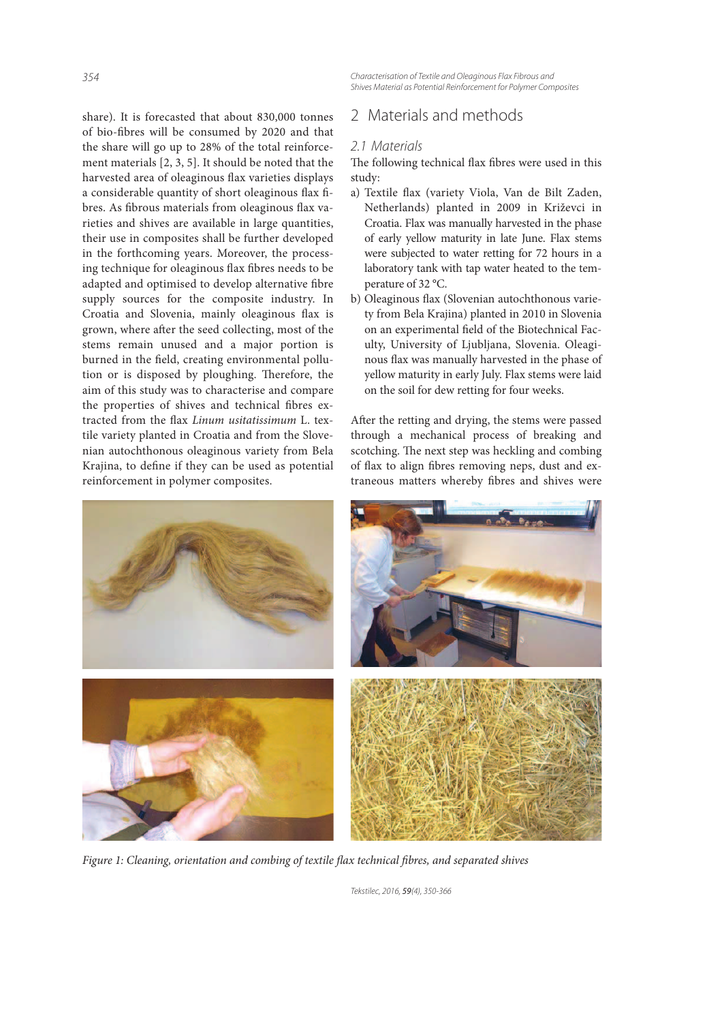*354 Characterisation of Textile and Oleaginous Flax Fibrous and Shives Material as Potential Reinforcement for Polymer Composites*

share). It is forecasted that about 830,000 tonnes of bio-fibres will be consumed by 2020 and that the share will go up to 28% of the total reinforcement materials [2, 3, 5]. It should be noted that the harvested area of oleaginous flax varieties displays a considerable quantity of short oleaginous flax fibres. As fibrous materials from oleaginous flax varieties and shives are available in large quantities, their use in composites shall be further developed in the forthcoming years. Moreover, the processing technique for oleaginous flax fibres needs to be adapted and optimised to develop alternative fibre supply sources for the composite industry. In Croatia and Slovenia, mainly oleaginous flax is grown, where after the seed collecting, most of the stems remain unused and a major portion is burned in the field, creating environmental pollution or is disposed by ploughing. Therefore, the aim of this study was to characterise and compare the properties of shives and technical fibres extracted from the flax Linum usitatissimum L. textile variety planted in Croatia and from the Slovenian autochthonous oleaginous variety from Bela Krajina, to define if they can be used as potential reinforcement in polymer composites.

# 2 Materials and methods

### *2.1 Materials*

The following technical flax fibres were used in this study:

- a) Textile flax (variety Viola, Van de Bilt Zaden, Netherlands) planted in 2009 in Križevci in Croatia. Flax was manually harvested in the phase of early yellow maturity in late June. Flax stems were subjected to water retting for 72 hours in a laboratory tank with tap water heated to the temperature of 32 °C.
- b) Oleaginous flax (Slovenian autochthonous variety from Bela Krajina) planted in 2010 in Slovenia on an experimental field of the Biotechnical Faculty, University of Ljubljana, Slovenia. Oleaginous flax was manually harvested in the phase of yellow maturity in early July. Flax stems were laid on the soil for dew retting for four weeks.

After the retting and drying, the stems were passed through a mechanical process of breaking and scotching. The next step was heckling and combing of flax to align fibres removing neps, dust and extraneous matters whereby fibres and shives were



Figure 1: Cleaning, orientation and combing of textile flax technical fibres, and separated shives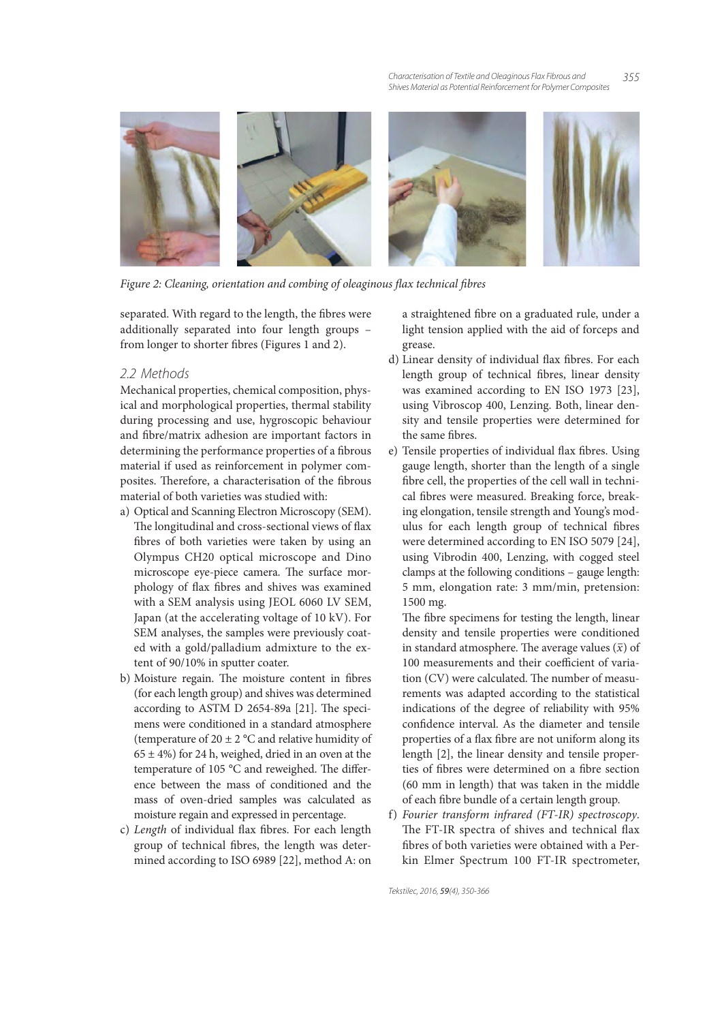

Figure 2: Cleaning, orientation and combing of oleaginous flax technical fibres

separated. With regard to the length, the fibres were additionally separated into four length groups – from longer to shorter fibres (Figures 1 and 2).

### *2.2 Methods*

Mechanical properties, chemical composition, physical and morphological properties, thermal stability during processing and use, hygroscopic behaviour and fibre/matrix adhesion are important factors in determining the performance properties of a fibrous material if used as reinforcement in polymer composites. Therefore, a characterisation of the fibrous material of both varieties was studied with:

- a) Optical and Scanning Electron Microscopy (SEM). The longitudinal and cross-sectional views of flax fibres of both varieties were taken by using an Olympus CH20 optical microscope and Dino microscope eye-piece camera. The surface morphology of flax fibres and shives was examined with a SEM analysis using JEOL 6060 LV SEM, Japan (at the accelerating voltage of 10 kV). For SEM analyses, the samples were previously coated with a gold/palladium admixture to the extent of 90/10% in sputter coater.
- b) Moisture regain. The moisture content in fibres (for each length group) and shives was determined according to ASTM D 2654-89a  $[21]$ . The specimens were conditioned in a standard atmosphere (temperature of  $20 \pm 2$  °C and relative humidity of  $65 \pm 4\%$ ) for 24 h, weighed, dried in an oven at the temperature of 105  $^{\circ}$ C and reweighed. The difference between the mass of conditioned and the mass of oven-dried samples was calculated as moisture regain and expressed in percentage.
- c) Length of individual flax fibres. For each length group of technical fibres, the length was determined according to ISO 6989 [22], method A: on

a straightened fibre on a graduated rule, under a light tension applied with the aid of forceps and grease.

- d) Linear density of individual flax fibres. For each length group of technical fibres, linear density was examined according to EN ISO 1973 [23], using Vibroscop 400, Lenzing. Both, linear density and tensile properties were determined for the same fibres.
- e) Tensile properties of individual flax fibres. Using gauge length, shorter than the length of a single bre cell, the properties of the cell wall in technical fibres were measured. Breaking force, breaking elongation, tensile strength and Young's modulus for each length group of technical fibres were determined according to EN ISO 5079 [24], using Vibrodin 400, Lenzing, with cogged steel clamps at the following conditions – gauge length: 5 mm, elongation rate: 3 mm/min, pretension: 1500 mg.

The fibre specimens for testing the length, linear density and tensile properties were conditioned in standard atmosphere. The average values  $(\bar{x})$  of 100 measurements and their coefficient of variation (CV) were calculated. The number of measurements was adapted according to the statistical indications of the degree of reliability with 95% confidence interval. As the diameter and tensile properties of a flax fibre are not uniform along its length [2], the linear density and tensile properties of fibres were determined on a fibre section (60 mm in length) that was taken in the middle of each fibre bundle of a certain length group.

f) Fourier transform infrared (FT-IR) spectroscopy. The FT-IR spectra of shives and technical flax bres of both varieties were obtained with a Perkin Elmer Spectrum 100 FT-IR spectrometer,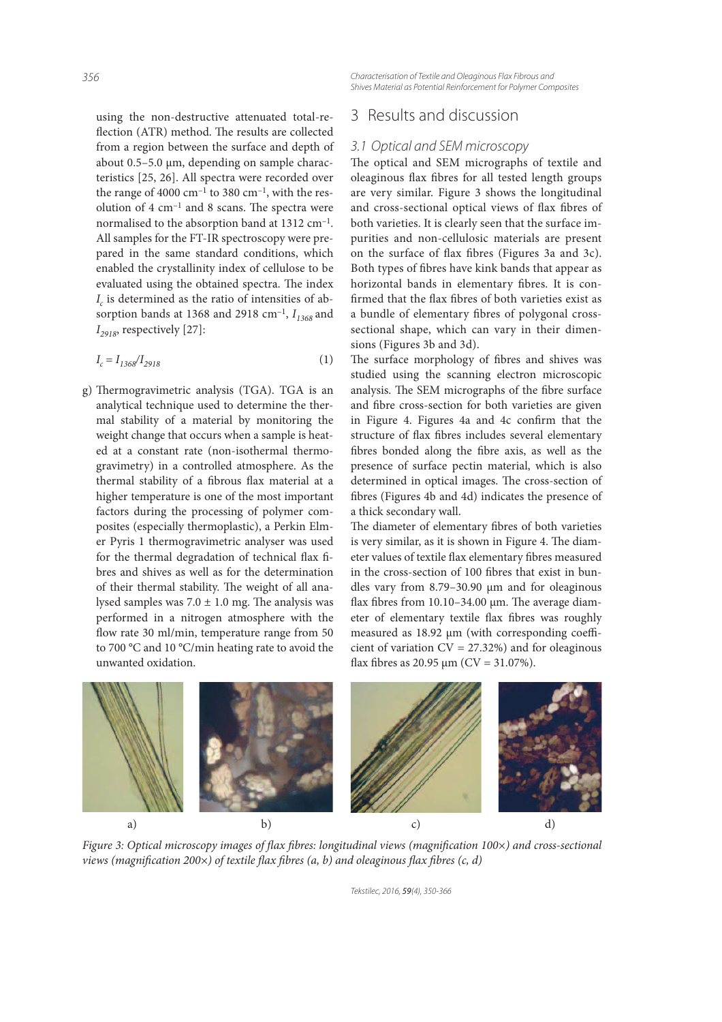using the non-destructive attenuated total-re flection (ATR) method. The results are collected from a region between the surface and depth of about 0.5–5.0 µm, depending on sample characteristics [25, 26]. All spectra were recorded over the range of 4000  $cm^{-1}$  to 380  $cm^{-1}$ , with the resolution of  $4 \text{ cm}^{-1}$  and  $8 \text{ scans}$ . The spectra were normalised to the absorption band at 1312 cm<sup>-1</sup>. All samples for the FT-IR spectroscopy were prepared in the same standard conditions, which enabled the crystallinity index of cellulose to be evaluated using the obtained spectra. The index  $I_c$  is determined as the ratio of intensities of absorption bands at 1368 and 2918  $\text{cm}^{-1}$ ,  $I_{1368}$  and  $I_{2918}$ , respectively [27]:

$$
I_c = I_{1368} / I_{2918} \tag{1}
$$

g) Thermogravimetric analysis (TGA). TGA is an analytical technique used to determine the thermal stability of a material by monitoring the weight change that occurs when a sample is heated at a constant rate (non-isothermal thermogravimetry) in a controlled atmosphere. As the thermal stability of a fibrous flax material at a higher temperature is one of the most important factors during the processing of polymer composites (especially thermoplastic), a Perkin Elmer Pyris 1 thermogravimetric analyser was used for the thermal degradation of technical flax fibres and shives as well as for the determination of their thermal stability. The weight of all analysed samples was  $7.0 \pm 1.0$  mg. The analysis was performed in a nitrogen atmosphere with the flow rate 30 ml/min, temperature range from 50 to 700 °C and 10 °C/min heating rate to avoid the unwanted oxidation.

# *Shives Material as Potential Reinforcement for Polymer Composites*

# 3 Results and discussion

## *3.1 Optical and SEM microscopy*

The optical and SEM micrographs of textile and oleaginous flax fibres for all tested length groups are very similar. Figure 3 shows the longitudinal and cross-sectional optical views of flax fibres of both varieties. It is clearly seen that the surface impurities and non-cellulosic materials are present on the surface of flax fibres (Figures 3a and 3c). Both types of fibres have kink bands that appear as horizontal bands in elementary fibres. It is confirmed that the flax fibres of both varieties exist as a bundle of elementary fibres of polygonal crosssectional shape, which can vary in their dimensions (Figures 3b and 3d).

The surface morphology of fibres and shives was studied using the scanning electron microscopic analysis. The SEM micrographs of the fibre surface and fibre cross-section for both varieties are given in Figure 4. Figures 4a and 4c confirm that the structure of flax fibres includes several elementary fibres bonded along the fibre axis, as well as the presence of surface pectin material, which is also determined in optical images. The cross-section of bres (Figures 4b and 4d) indicates the presence of a thick secondary wall.

The diameter of elementary fibres of both varieties is very similar, as it is shown in Figure 4. The diameter values of textile flax elementary fibres measured in the cross-section of 100 fibres that exist in bundles vary from 8.79–30.90 µm and for oleaginous flax fibres from  $10.10-34.00 \mu m$ . The average diameter of elementary textile flax fibres was roughly measured as  $18.92 \mu m$  (with corresponding coefficient of variation  $CV = 27.32\%$ ) and for oleaginous flax fibres as 20.95  $\mu$ m (CV = 31.07%).



Figure 3: Optical microscopy images of flax fibres: longitudinal views (magnification  $100\times$ ) and cross-sectional views (magnification 200 $\times$ ) of textile flax fibres (a, b) and oleaginous flax fibres (c, d)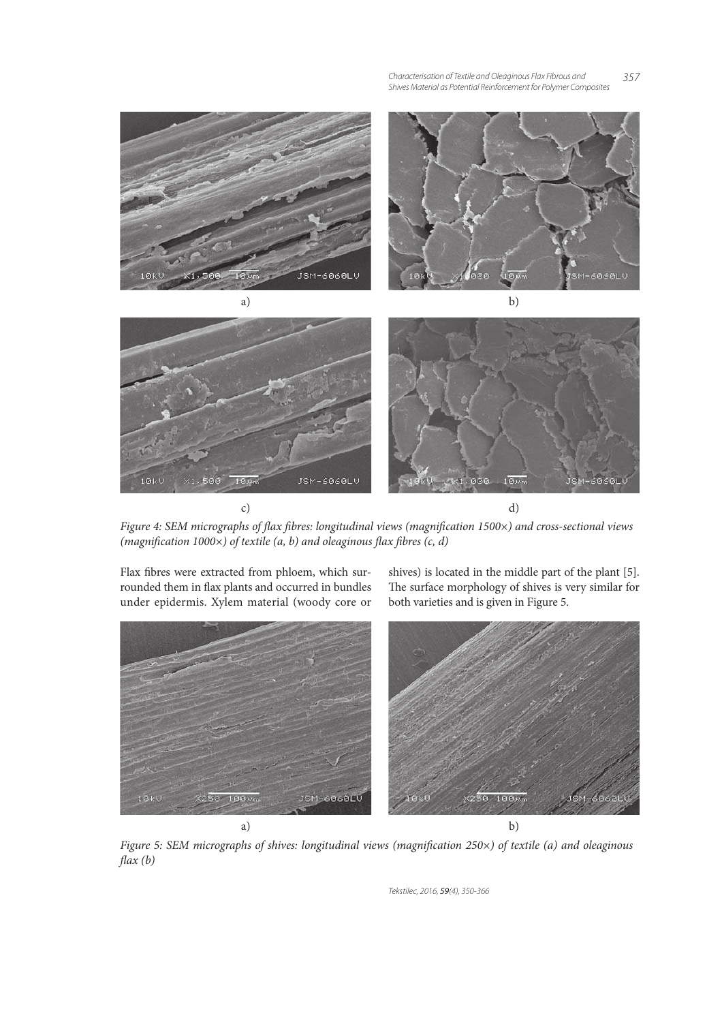#### *Characterisation of Textile and Oleaginous Flax Fibrous and 357 Shives Material as Potential Reinforcement for Polymer Composites*



Figure 4: SEM micrographs of flax fibres: longitudinal views (magnification 1500×) and cross-sectional views (magnification 1000 $\times$ ) of textile (a, b) and oleaginous flax fibres (c, d)

Flax fibres were extracted from phloem, which surrounded them in flax plants and occurred in bundles under epidermis. Xylem material (woody core or shives) is located in the middle part of the plant [5]. The surface morphology of shives is very similar for both varieties and is given in Figure 5.



Figure 5: SEM micrographs of shives: longitudinal views (magnification 250×) of textile (a) and oleaginous  $\text{flux}(b)$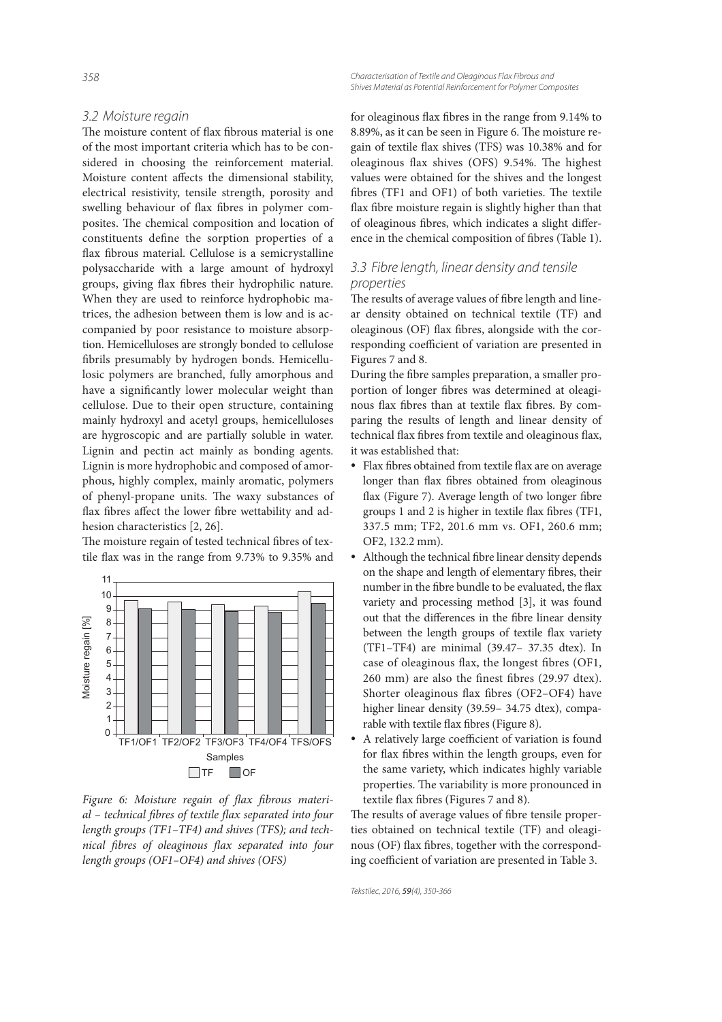### *3.2 Moisture regain*

The moisture content of flax fibrous material is one of the most important criteria which has to be considered in choosing the reinforcement material. Moisture content affects the dimensional stability, electrical resistivity, tensile strength, porosity and swelling behaviour of flax fibres in polymer composites. The chemical composition and location of constituents define the sorption properties of a flax fibrous material. Cellulose is a semicrystalline polysaccharide with a large amount of hydroxyl groups, giving flax fibres their hydrophilic nature. When they are used to reinforce hydrophobic matrices, the adhesion between them is low and is accompanied by poor resistance to moisture absorption. Hemicelluloses are strongly bonded to cellulose brils presumably by hydrogen bonds. Hemicellulosic polymers are branched, fully amorphous and have a significantly lower molecular weight than cellulose. Due to their open structure, containing mainly hydroxyl and acetyl groups, hemicelluloses are hygroscopic and are partially soluble in water. Lignin and pectin act mainly as bonding agents. Lignin is more hydrophobic and composed of amorphous, highly complex, mainly aromatic, polymers of phenyl-propane units. The waxy substances of flax fibres affect the lower fibre wettability and adhesion characteristics [2, 26].

The moisture regain of tested technical fibres of textile flax was in the range from 9.73% to 9.35% and



Figure 6: Moisture regain of flax fibrous material - technical fibres of textile flax separated into four length groups (TF1–TF4) and shives (TFS); and technical fibres of oleaginous flax separated into four length groups (OF1–OF4) and shives (OFS)

*358 Characterisation of Textile and Oleaginous Flax Fibrous and Shives Material as Potential Reinforcement for Polymer Composites*

> for oleaginous flax fibres in the range from 9.14% to 8.89%, as it can be seen in Figure 6. The moisture regain of textile flax shives (TFS) was 10.38% and for oleaginous flax shives (OFS) 9.54%. The highest values were obtained for the shives and the longest fibres (TF1 and OF1) of both varieties. The textile flax fibre moisture regain is slightly higher than that of oleaginous fibres, which indicates a slight difference in the chemical composition of fibres (Table 1).

## *3.3 Fibre length, linear density and tensile properties*

The results of average values of fibre length and linear density obtained on technical textile (TF) and oleaginous (OF) flax fibres, alongside with the corresponding coefficient of variation are presented in Figures 7 and 8.

During the fibre samples preparation, a smaller proportion of longer fibres was determined at oleaginous flax fibres than at textile flax fibres. By comparing the results of length and linear density of technical flax fibres from textile and oleaginous flax, it was established that:

- Flax fibres obtained from textile flax are on average longer than flax fibres obtained from oleaginous flax (Figure 7). Average length of two longer fibre groups 1 and 2 is higher in textile flax fibres (TF1, 337.5 mm; TF2, 201.6 mm vs. OF1, 260.6 mm; OF2, 132.2 mm).
- Although the technical fibre linear density depends on the shape and length of elementary fibres, their number in the fibre bundle to be evaluated, the flax variety and processing method [3], it was found out that the differences in the fibre linear density between the length groups of textile flax variety (TF1–TF4) are minimal (39.47– 37.35 dtex). In case of oleaginous flax, the longest fibres (OF1,  $260$  mm) are also the finest fibres (29.97 dtex). Shorter oleaginous flax fibres (OF2–OF4) have higher linear density (39.59-34.75 dtex), comparable with textile flax fibres (Figure 8).
- A relatively large coefficient of variation is found for flax fibres within the length groups, even for the same variety, which indicates highly variable properties. The variability is more pronounced in textile flax fibres (Figures 7 and 8).

The results of average values of fibre tensile properties obtained on technical textile (TF) and oleaginous (OF) flax fibres, together with the corresponding coefficient of variation are presented in Table 3.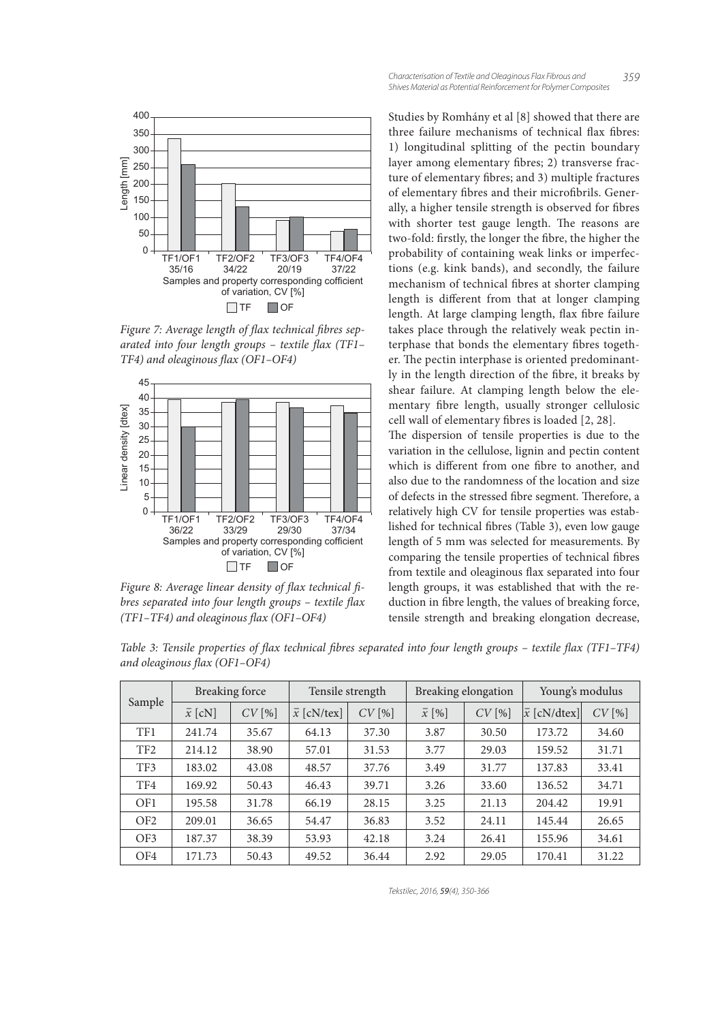

Figure 7: Average length of flax technical fibres separated into four length groups  $-$  textile flax (TF1–  $TF4$ ) and oleaginous flax (OF1-OF4)



Figure 8: Average linear density of flax technical fibres separated into four length groups - textile flax  $(TF1-TF4)$  and oleaginous flax  $(OF1-OF4)$ 

Studies by Romhány et al [8] showed that there are three failure mechanisms of technical flax fibres: 1) longitudinal splitting of the pectin boundary layer among elementary fibres; 2) transverse fracture of elementary fibres; and 3) multiple fractures of elementary fibres and their microfibrils. Generally, a higher tensile strength is observed for fibres with shorter test gauge length. The reasons are two-fold: firstly, the longer the fibre, the higher the probability of containing weak links or imperfections (e.g. kink bands), and secondly, the failure mechanism of technical fibres at shorter clamping length is different from that at longer clamping length. At large clamping length, flax fibre failure takes place through the relatively weak pectin interphase that bonds the elementary fibres together. The pectin interphase is oriented predominantly in the length direction of the fibre, it breaks by shear failure. At clamping length below the elementary fibre length, usually stronger cellulosic cell wall of elementary fibres is loaded [2, 28].

The dispersion of tensile properties is due to the variation in the cellulose, lignin and pectin content which is different from one fibre to another, and also due to the randomness of the location and size of defects in the stressed fibre segment. Therefore, a relatively high CV for tensile properties was established for technical fibres (Table 3), even low gauge length of 5 mm was selected for measurements. By comparing the tensile properties of technical fibres from textile and oleaginous flax separated into four length groups, it was established that with the reduction in fibre length, the values of breaking force, tensile strength and breaking elongation decrease,

Table 3: Tensile properties of flax technical fibres separated into four length groups – textile flax (TF1–TF4) and oleaginous flax (OF1-OF4)

| Sample          | <b>Breaking force</b> |       | Tensile strength   |       | Breaking elongation |       | Young's modulus     |       |
|-----------------|-----------------------|-------|--------------------|-------|---------------------|-------|---------------------|-------|
|                 | $\bar{x}$ [cN]        | CV[%] | $\bar{x}$ [cN/tex] | CV[%] | $\bar{x}$ [%]       | CV[%] | $\bar{x}$ [cN/dtex] | CV[%] |
| TF1             | 241.74                | 35.67 | 64.13              | 37.30 | 3.87                | 30.50 | 173.72              | 34.60 |
| TF <sub>2</sub> | 214.12                | 38.90 | 57.01              | 31.53 | 3.77                | 29.03 | 159.52              | 31.71 |
| TF3             | 183.02                | 43.08 | 48.57              | 37.76 | 3.49                | 31.77 | 137.83              | 33.41 |
| TF4             | 169.92                | 50.43 | 46.43              | 39.71 | 3.26                | 33.60 | 136.52              | 34.71 |
| OF1             | 195.58                | 31.78 | 66.19              | 28.15 | 3.25                | 21.13 | 204.42              | 19.91 |
| OF <sub>2</sub> | 209.01                | 36.65 | 54.47              | 36.83 | 3.52                | 24.11 | 145.44              | 26.65 |
| OF3             | 187.37                | 38.39 | 53.93              | 42.18 | 3.24                | 26.41 | 155.96              | 34.61 |
| OF4             | 171.73                | 50.43 | 49.52              | 36.44 | 2.92                | 29.05 | 170.41              | 31.22 |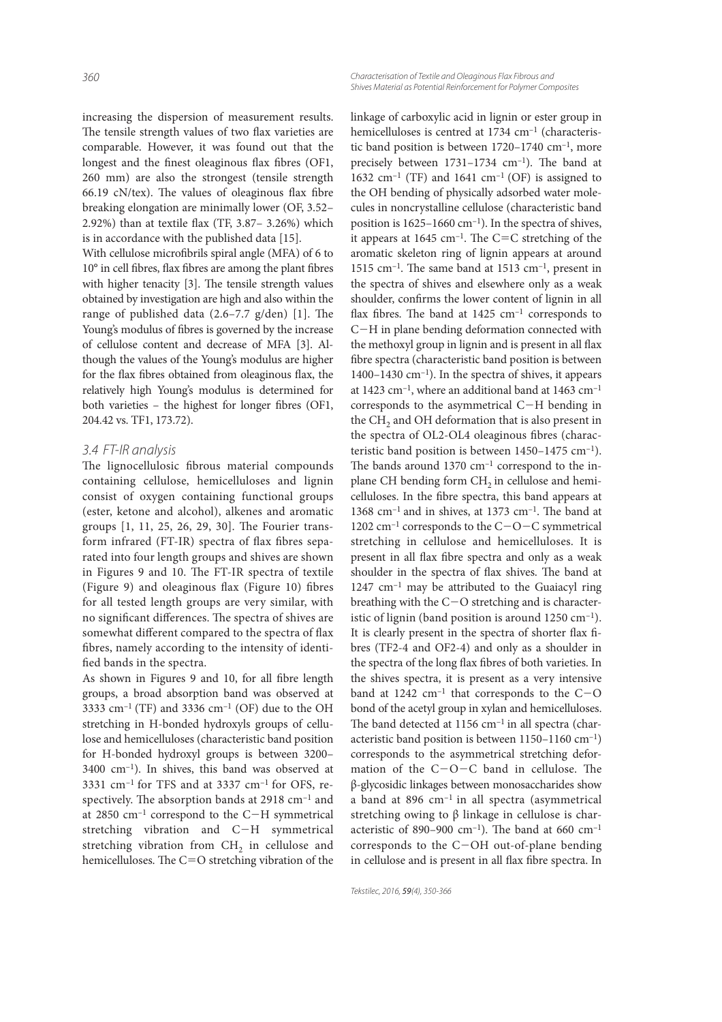increasing the dispersion of measurement results. The tensile strength values of two flax varieties are comparable. However, it was found out that the longest and the finest oleaginous flax fibres (OF1, 260 mm) are also the strongest (tensile strength 66.19 cN/tex). The values of oleaginous flax fibre breaking elongation are minimally lower (OF, 3.52– 2.92%) than at textile flax (TF,  $3.87-3.26%$ ) which is in accordance with the published data [15].

With cellulose microfibrils spiral angle (MFA) of 6 to  $10^{\circ}$  in cell fibres, flax fibres are among the plant fibres with higher tenacity [3]. The tensile strength values obtained by investigation are high and also within the range of published data  $(2.6-7.7 \text{ g}/\text{den})$  [1]. The Young's modulus of fibres is governed by the increase of cellulose content and decrease of MFA [3]. Although the values of the Young's modulus are higher for the flax fibres obtained from oleaginous flax, the relatively high Young's modulus is determined for both varieties - the highest for longer fibres (OF1, 204.42 vs. TF1, 173.72).

# *3.4 FT-IR analysis*

The lignocellulosic fibrous material compounds containing cellulose, hemicelluloses and lignin consist of oxygen containing functional groups (ester, ketone and alcohol), alkenes and aromatic groups  $[1, 11, 25, 26, 29, 30]$ . The Fourier transform infrared (FT-IR) spectra of flax fibres separated into four length groups and shives are shown in Figures 9 and 10. The FT-IR spectra of textile (Figure 9) and oleaginous flax (Figure 10) fibres for all tested length groups are very similar, with no significant differences. The spectra of shives are somewhat different compared to the spectra of flax bres, namely according to the intensity of identi fied bands in the spectra.

As shown in Figures 9 and 10, for all fibre length groups, a broad absorption band was observed at 3333 cm<sup>-1</sup> (TF) and 3336 cm<sup>-1</sup> (OF) due to the OH stretching in H-bonded hydroxyls groups of cellulose and hemicelluloses (characteristic band position for H-bonded hydroxyl groups is between 3200– 3400 cm–1). In shives, this band was observed at 3331  $cm^{-1}$  for TFS and at 3337  $cm^{-1}$  for OFS, respectively. The absorption bands at  $2918 \text{ cm}^{-1}$  and at 2850  $cm^{-1}$  correspond to the C-H symmetrical stretching vibration and  $C-H$  symmetrical stretching vibration from  $CH<sub>2</sub>$  in cellulose and hemicelluloses. The  $C=O$  stretching vibration of the

*360 Characterisation of Textile and Oleaginous Flax Fibrous and Shives Material as Potential Reinforcement for Polymer Composites*

> linkage of carboxylic acid in lignin or ester group in hemicelluloses is centred at 1734 cm<sup>-1</sup> (characteristic band position is between 1720–1740 cm<sup>-1</sup>, more precisely between  $1731-1734$  cm<sup>-1</sup>). The band at 1632 cm<sup>-1</sup> (TF) and 1641 cm<sup>-1</sup> (OF) is assigned to the OH bending of physically adsorbed water molecules in noncrystalline cellulose (characteristic band position is  $1625-1660$  cm<sup>-1</sup>). In the spectra of shives, it appears at 1645 cm<sup>-1</sup>. The C=C stretching of the aromatic skeleton ring of lignin appears at around 1515 cm<sup>-1</sup>. The same band at 1513 cm<sup>-1</sup>, present in the spectra of shives and elsewhere only as a weak shoulder, confirms the lower content of lignin in all flax fibres. The band at  $1425 \text{ cm}^{-1}$  corresponds to C-H in plane bending deformation connected with the methoxyl group in lignin and is present in all flax bre spectra (characteristic band position is between 1400–1430 cm $^{-1}$ ). In the spectra of shives, it appears at 1423  $cm^{-1}$ , where an additional band at 1463  $cm^{-1}$ corresponds to the asymmetrical  $C-H$  bending in the  $\rm CH_{2}$  and OH deformation that is also present in the spectra of OL2-OL4 oleaginous fibres (characteristic band position is between 1450–1475 cm–1). The bands around  $1370 \text{ cm}^{-1}$  correspond to the inplane CH bending form  $CH<sub>2</sub>$  in cellulose and hemicelluloses. In the fibre spectra, this band appears at 1368 cm<sup>-1</sup> and in shives, at 1373 cm<sup>-1</sup>. The band at 1202 cm<sup>-1</sup> corresponds to the  $C$ - $O$ - $C$  symmetrical stretching in cellulose and hemicelluloses. It is present in all flax fibre spectra and only as a weak shoulder in the spectra of flax shives. The band at 1247 cm<sup>-1</sup> may be attributed to the Guaiacyl ring breathing with the  $C-O$  stretching and is characteristic of lignin (band position is around  $1250 \text{ cm}^{-1}$ ). It is clearly present in the spectra of shorter flax fibres (TF2-4 and OF2-4) and only as a shoulder in the spectra of the long flax fibres of both varieties. In the shives spectra, it is present as a very intensive band at 1242  $cm^{-1}$  that corresponds to the C-O bond of the acetyl group in xylan and hemicelluloses. The band detected at  $1156$  cm<sup>-1</sup> in all spectra (characteristic band position is between  $1150-1160$  cm<sup>-1</sup>) corresponds to the asymmetrical stretching deformation of the  $C-O-C$  band in cellulose. The β-glycosidic linkages between monosaccharides show a band at 896 cm–1 in all spectra (asymmetrical stretching owing to β linkage in cellulose is characteristic of 890–900 cm<sup>-1</sup>). The band at 660 cm<sup>-1</sup> corresponds to the  $C-OH$  out-of-plane bending in cellulose and is present in all flax fibre spectra. In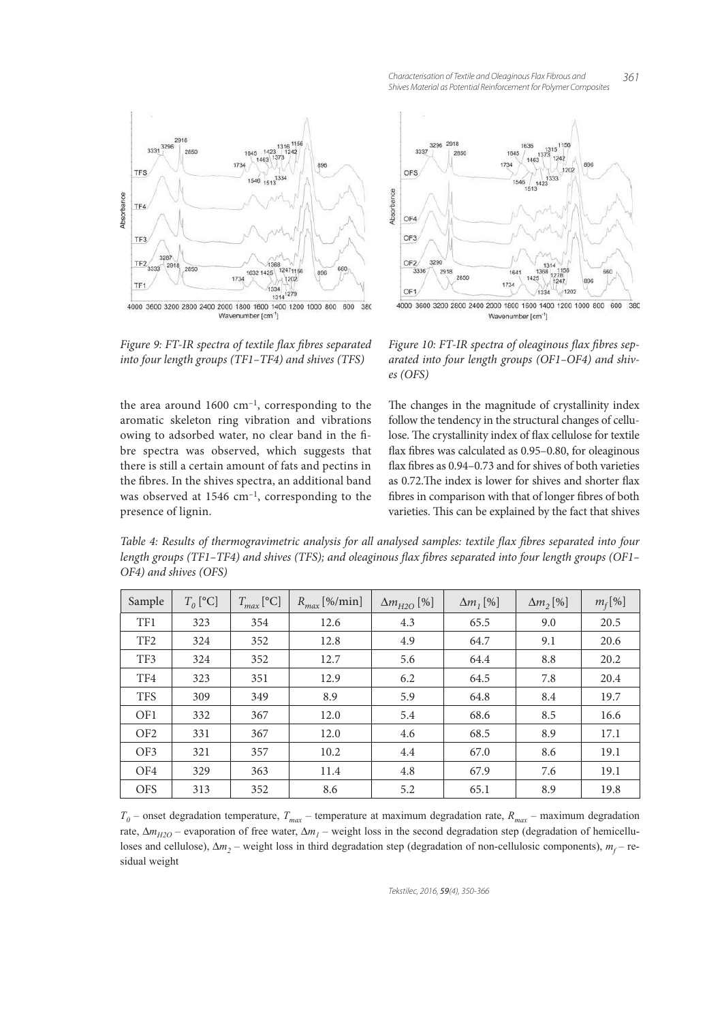

Figure 9: FT-IR spectra of textile flax fibres separated into four length groups (TF1–TF4) and shives (TFS)

the area around  $1600 \text{ cm}^{-1}$ , corresponding to the aromatic skeleton ring vibration and vibrations owing to adsorbed water, no clear band in the fibre spectra was observed, which suggests that there is still a certain amount of fats and pectins in the fibres. In the shives spectra, an additional band was observed at 1546 cm–1, corresponding to the presence of lignin.



Figure 10: FT-IR spectra of oleaginous flax fibres separated into four length groups (OF1–OF4) and shives (OFS)

The changes in the magnitude of crystallinity index follow the tendency in the structural changes of cellulose. The crystallinity index of flax cellulose for textile flax fibres was calculated as  $0.95-0.80$ , for oleaginous flax fibres as 0.94–0.73 and for shives of both varieties as 0.72. The index is lower for shives and shorter flax fibres in comparison with that of longer fibres of both varieties. This can be explained by the fact that shives

Table 4: Results of thermogravimetric analysis for all analysed samples: textile flax fibres separated into four length groups (TF1–TF4) and shives (TFS); and oleaginous flax fibres separated into four length groups (OF1– OF4) and shives (OFS)

| Sample          | $T_0$ [°C] | $T_{max}$ [°C] | $R_{max}$ [%/min] | $\Delta m_{H2O}$ [%] | $\Delta m$ <sub>1</sub> [%] | $\Delta m$ <sub>2</sub> [%] | $m_f$ [%] |
|-----------------|------------|----------------|-------------------|----------------------|-----------------------------|-----------------------------|-----------|
| TF1             | 323        | 354            | 12.6              | 4.3                  | 65.5                        | 9.0                         | 20.5      |
| TF <sub>2</sub> | 324        | 352            | 12.8              | 4.9                  | 64.7                        | 9.1                         | 20.6      |
| TF3             | 324        | 352            | 12.7              | 5.6                  | 64.4                        | 8.8                         | 20.2      |
| TF4             | 323        | 351            | 12.9              | 6.2                  | 64.5                        | 7.8                         | 20.4      |
| <b>TFS</b>      | 309        | 349            | 8.9               | 5.9                  | 64.8                        | 8.4                         | 19.7      |
| OF1             | 332        | 367            | 12.0              | 5.4                  | 68.6                        | 8.5                         | 16.6      |
| OF <sub>2</sub> | 331        | 367            | 12.0              | 4.6                  | 68.5                        | 8.9                         | 17.1      |
| OF3             | 321        | 357            | 10.2              | 4.4                  | 67.0                        | 8.6                         | 19.1      |
| OF4             | 329        | 363            | 11.4              | 4.8                  | 67.9                        | 7.6                         | 19.1      |
| <b>OFS</b>      | 313        | 352            | 8.6               | 5.2                  | 65.1                        | 8.9                         | 19.8      |

 $T_0$  – onset degradation temperature,  $T_{max}$  – temperature at maximum degradation rate,  $R_{max}$  – maximum degradation rate, ∆*mH2O* – evaporation of free water, ∆*m<sup>1</sup>* – weight loss in the second degradation step (degradation of hemicelluloses and cellulose), Δm<sub>2</sub> – weight loss in third degradation step (degradation of non-cellulosic components), m<sub>f</sub> – residual weight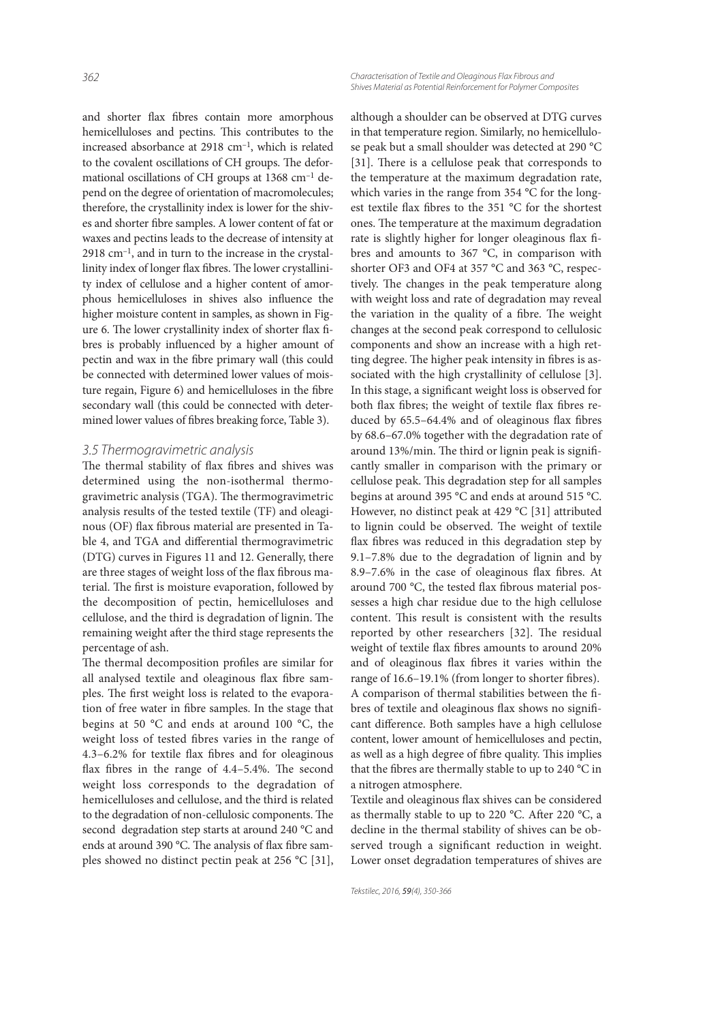*362 Characterisation of Textile and Oleaginous Flax Fibrous and Shives Material as Potential Reinforcement for Polymer Composites*

and shorter flax fibres contain more amorphous hemicelluloses and pectins. This contributes to the increased absorbance at 2918 cm–1, which is related to the covalent oscillations of CH groups. The deformational oscillations of CH groups at 1368 cm<sup>-1</sup> depend on the degree of orientation of macromolecules; therefore, the crystallinity index is lower for the shives and shorter fibre samples. A lower content of fat or waxes and pectins leads to the decrease of intensity at  $2918$  cm<sup>-1</sup>, and in turn to the increase in the crystallinity index of longer flax fibres. The lower crystallinity index of cellulose and a higher content of amorphous hemicelluloses in shives also influence the higher moisture content in samples, as shown in Figure 6. The lower crystallinity index of shorter flax fibres is probably influenced by a higher amount of pectin and wax in the fibre primary wall (this could be connected with determined lower values of moisture regain, Figure 6) and hemicelluloses in the fibre secondary wall (this could be connected with determined lower values of fibres breaking force, Table 3).

#### *3.5 Thermogravimetric analysis*

The thermal stability of flax fibres and shives was determined using the non-isothermal thermogravimetric analysis (TGA). The thermogravimetric analysis results of the tested textile (TF) and oleaginous (OF) flax fibrous material are presented in Table 4, and TGA and differential thermogravimetric (DTG) curves in Figures 11 and 12. Generally, there are three stages of weight loss of the flax fibrous material. The first is moisture evaporation, followed by the decomposition of pectin, hemicelluloses and cellulose, and the third is degradation of lignin. The remaining weight after the third stage represents the percentage of ash.

The thermal decomposition profiles are similar for all analysed textile and oleaginous flax fibre samples. The first weight loss is related to the evaporation of free water in fibre samples. In the stage that begins at 50 °C and ends at around 100 °C, the weight loss of tested fibres varies in the range of 4.3–6.2% for textile flax fibres and for oleaginous flax fibres in the range of  $4.4-5.4\%$ . The second weight loss corresponds to the degradation of hemicelluloses and cellulose, and the third is related to the degradation of non-cellulosic components. The second degradation step starts at around 240 °C and ends at around 390 °C. The analysis of flax fibre samples showed no distinct pectin peak at 256 °C [31],

although a shoulder can be observed at DTG curves in that temperature region. Similarly, no hemicellulose peak but a small shoulder was detected at 290 °C [31]. There is a cellulose peak that corresponds to the temperature at the maximum degradation rate, which varies in the range from 354 °C for the longest textile flax fibres to the 351  $°C$  for the shortest ones. The temperature at the maximum degradation rate is slightly higher for longer oleaginous flax fibres and amounts to 367 °C, in comparison with shorter OF3 and OF4 at 357 °C and 363 °C, respectively. The changes in the peak temperature along with weight loss and rate of degradation may reveal the variation in the quality of a fibre. The weight changes at the second peak correspond to cellulosic components and show an increase with a high retting degree. The higher peak intensity in fibres is associated with the high crystallinity of cellulose [3]. In this stage, a significant weight loss is observed for both flax fibres; the weight of textile flax fibres reduced by  $65.5-64.4\%$  and of oleaginous flax fibres by 68.6–67.0% together with the degradation rate of around 13%/min. The third or lignin peak is significantly smaller in comparison with the primary or cellulose peak. This degradation step for all samples begins at around 395 °C and ends at around 515 °C. However, no distinct peak at 429 °C [31] attributed to lignin could be observed. The weight of textile flax fibres was reduced in this degradation step by 9.1–7.8% due to the degradation of lignin and by 8.9–7.6% in the case of oleaginous flax fibres. At around 700 °C, the tested flax fibrous material possesses a high char residue due to the high cellulose content. This result is consistent with the results reported by other researchers [32]. The residual weight of textile flax fibres amounts to around 20% and of oleaginous flax fibres it varies within the range of 16.6–19.1% (from longer to shorter fibres). A comparison of thermal stabilities between the fibres of textile and oleaginous flax shows no significant difference. Both samples have a high cellulose content, lower amount of hemicelluloses and pectin, as well as a high degree of fibre quality. This implies that the fibres are thermally stable to up to 240  $^{\circ}$ C in a nitrogen atmosphere.

Textile and oleaginous flax shives can be considered as thermally stable to up to 220 °C. After 220 °C, a decline in the thermal stability of shives can be observed trough a significant reduction in weight. Lower onset degradation temperatures of shives are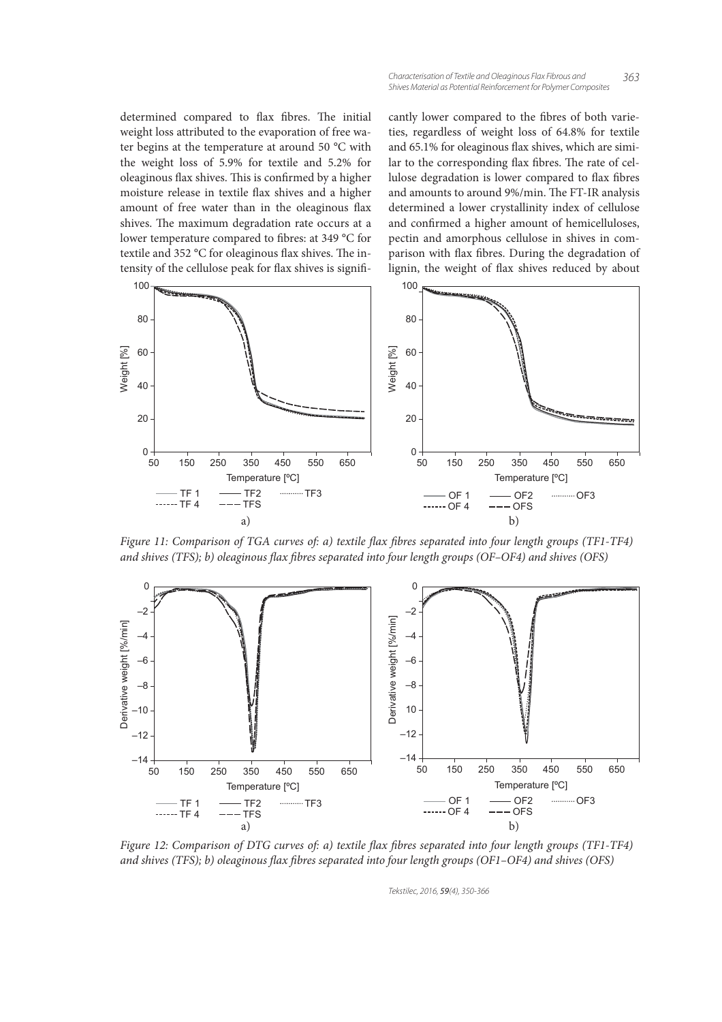#### *Characterisation of Textile and Oleaginous Flax Fibrous and 363 Shives Material as Potential Reinforcement for Polymer Composites*

determined compared to flax fibres. The initial weight loss attributed to the evaporation of free water begins at the temperature at around 50 °C with the weight loss of 5.9% for textile and 5.2% for oleaginous flax shives. This is confirmed by a higher moisture release in textile flax shives and a higher amount of free water than in the oleaginous flax shives. The maximum degradation rate occurs at a lower temperature compared to fibres: at 349 °C for textile and 352  $^{\circ}$ C for oleaginous flax shives. The intensity of the cellulose peak for flax shives is significantly lower compared to the fibres of both varieties, regardless of weight loss of 64.8% for textile and 65.1% for oleaginous flax shives, which are similar to the corresponding flax fibres. The rate of cellulose degradation is lower compared to flax fibres and amounts to around 9%/min. The FT-IR analysis determined a lower crystallinity index of cellulose and confirmed a higher amount of hemicelluloses, pectin and amorphous cellulose in shives in comparison with flax fibres. During the degradation of lignin, the weight of flax shives reduced by about



Figure 11: Comparison of TGA curves of: a) textile flax fibres separated into four length groups (TF1-TF4) and shives (TFS); b) oleaginous flax fibres separated into four length groups (OF–OF4) and shives (OFS)



Figure 12: Comparison of DTG curves of: a) textile flax fibres separated into four length groups (TF1-TF4) and shives (TFS); b) oleaginous flax fibres separated into four length groups (OF1–OF4) and shives (OFS)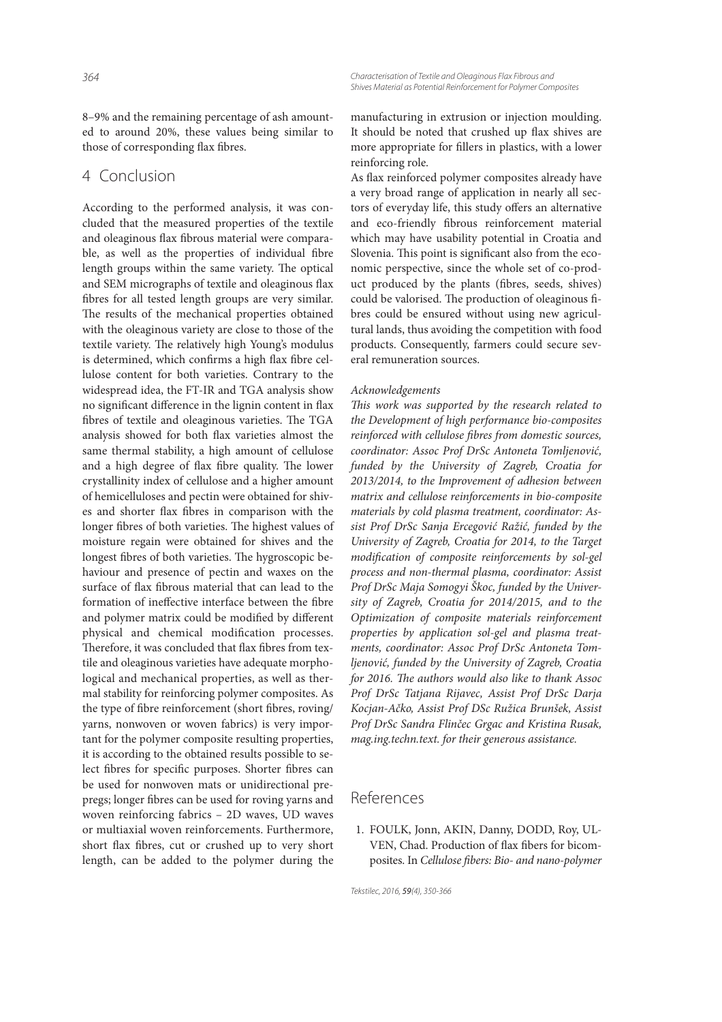8–9% and the remaining percentage of ash amounted to around 20%, these values being similar to those of corresponding flax fibres.

## 4 Conclusion

According to the performed analysis, it was concluded that the measured properties of the textile and oleaginous flax fibrous material were comparable, as well as the properties of individual fibre length groups within the same variety. The optical and SEM micrographs of textile and oleaginous flax bres for all tested length groups are very similar. The results of the mechanical properties obtained with the oleaginous variety are close to those of the textile variety. The relatively high Young's modulus is determined, which confirms a high flax fibre cellulose content for both varieties. Contrary to the widespread idea, the FT-IR and TGA analysis show no significant difference in the lignin content in flax fibres of textile and oleaginous varieties. The TGA analysis showed for both flax varieties almost the same thermal stability, a high amount of cellulose and a high degree of flax fibre quality. The lower crystallinity index of cellulose and a higher amount of hemicelluloses and pectin were obtained for shives and shorter flax fibres in comparison with the longer fibres of both varieties. The highest values of moisture regain were obtained for shives and the longest fibres of both varieties. The hygroscopic behaviour and presence of pectin and waxes on the surface of flax fibrous material that can lead to the formation of ineffective interface between the fibre and polymer matrix could be modified by different physical and chemical modification processes. Therefore, it was concluded that flax fibres from textile and oleaginous varieties have adequate morphological and mechanical properties, as well as thermal stability for reinforcing polymer composites. As the type of fibre reinforcement (short fibres, roving/ yarns, nonwoven or woven fabrics) is very important for the polymer composite resulting properties, it is according to the obtained results possible to select fibres for specific purposes. Shorter fibres can be used for nonwoven mats or unidirectional prepregs; longer fibres can be used for roving yarns and woven reinforcing fabrics – 2D waves, UD waves or multiaxial woven reinforcements. Furthermore, short flax fibres, cut or crushed up to very short length, can be added to the polymer during the

manufacturing in extrusion or injection moulding. It should be noted that crushed up flax shives are more appropriate for fillers in plastics, with a lower reinforcing role.

As flax reinforced polymer composites already have a very broad range of application in nearly all sectors of everyday life, this study offers an alternative and eco-friendly fibrous reinforcement material which may have usability potential in Croatia and Slovenia. This point is significant also from the economic perspective, since the whole set of co-product produced by the plants (fibres, seeds, shives) could be valorised. The production of oleaginous fibres could be ensured without using new agricultural lands, thus avoiding the competition with food products. Consequently, farmers could secure several remuneration sources.

#### Acknowledgements

This work was supported by the research related to the Development of high performance bio-composites reinforced with cellulose fibres from domestic sources, coordinator: Assoc Prof DrSc Antoneta Tomljenović, funded by the University of Zagreb, Croatia for 2013/2014, to the Improvement of adhesion between matrix and cellulose reinforcements in bio-composite materials by cold plasma treatment, coordinator: Assist Prof DrSc Sanja Ercegović Ražić, funded by the University of Zagreb, Croatia for 2014, to the Target modification of composite reinforcements by sol-gel process and non-thermal plasma, coordinator: Assist Prof DrSc Maja Somogyi Škoc, funded by the University of Zagreb, Croatia for 2014/2015, and to the Optimization of composite materials reinforcement properties by application sol-gel and plasma treatments, coordinator: Assoc Prof DrSc Antoneta Tomljenović, funded by the University of Zagreb, Croatia for 2016. The authors would also like to thank Assoc Prof DrSc Tatjana Rijavec, Assist Prof DrSc Darja Kocjan-Ačko, Assist Prof DSc Ružica Brunšek, Assist Prof DrSc Sandra Flinčec Grgac and Kristina Rusak, mag.ing.techn.text. for their generous assistance.

## References

 1. FOULK, Jonn, AKIN, Danny, DODD, Roy, UL-VEN, Chad. Production of flax fibers for bicomposites. In Cellulose fibers: Bio- and nano-polymer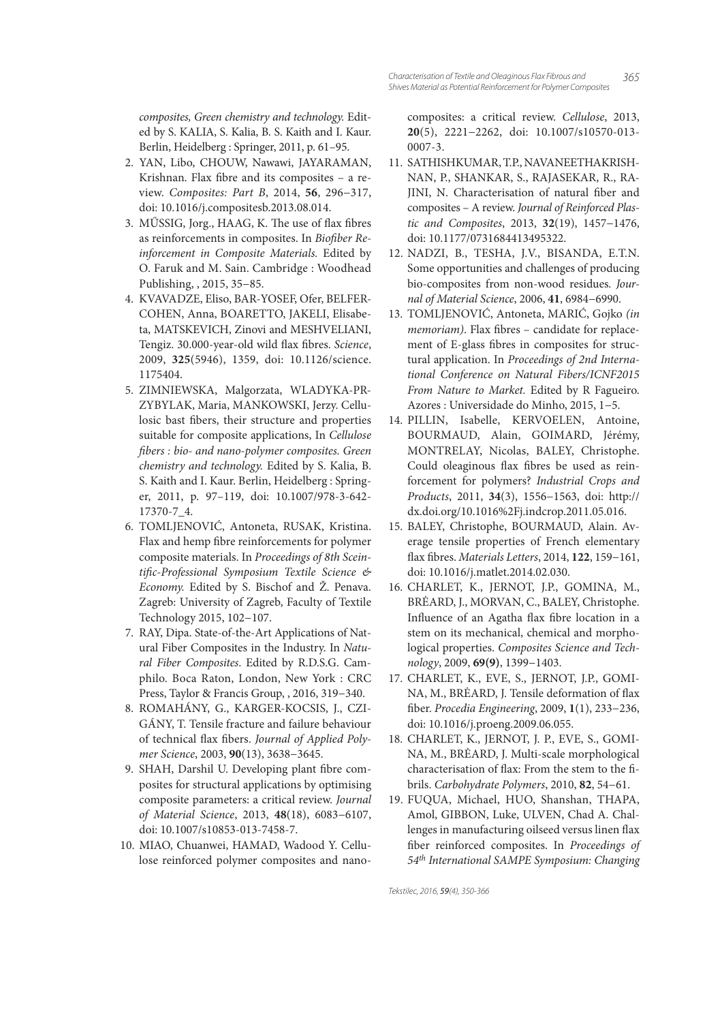composites, Green chemistry and technology. Edited by S. KALIA, S. Kalia, B. S. Kaith and I. Kaur. Berlin, Heidelberg : Springer, 2011, p. 61–95.

- 2. YAN, Libo, CHOUW, Nawawi, JAYARAMAN, Krishnan. Flax fibre and its composites - a review. Composites: Part B, 2014, **56**, 296−317, doi: 10.1016/j.compositesb.2013.08.014.
- 3. MŰSSIG, Jorg., HAAG, K. The use of flax fibres as reinforcements in composites. In Biofiber Reinforcement in Composite Materials. Edited by O. Faruk and M. Sain. Cambridge : Woodhead Publishing, , 2015, 35−85.
- 4. KVAVADZE, Eliso, BAR-YOSEF, Ofer, BELFER-COHEN, Anna, BOARETTO, JAKELI, Elisabeta, MATSKEVICH, Zinovi and MESHVELIANI, Tengiz. 30.000-year-old wild flax fibres. Science, 2009, **325**(5946), 1359, doi: 10.1126/science. 1175404.
- 5. ZIMNIEWSKA, Malgorzata, WLADYKA-PR-ZYBYLAK, Maria, MANKOWSKI, Jerzy. Cellulosic bast fibers, their structure and properties suitable for composite applications, In Cellulose fibers : bio- and nano-polymer composites. Green chemistry and technology. Edited by S. Kalia, B. S. Kaith and I. Kaur. Berlin, Heidelberg : Springer, 2011, p. 97–119, doi: 10.1007/978-3-642- 17370-7\_4.
- 6. TOMLJENOVIĆ, Antoneta, RUSAK, Kristina. Flax and hemp fibre reinforcements for polymer composite materials. In Proceedings of 8th Sceintific-Professional Symposium Textile Science & Economy. Edited by S. Bischof and Ž. Penava. Zagreb: University of Zagreb, Faculty of Textile Technology 2015, 102−107.
- 7. RAY, Dipa. State-of-the-Art Applications of Natural Fiber Composites in the Industry. In Natural Fiber Composites. Edited by R.D.S.G. Camphilo. Boca Raton, London, New York : CRC Press, Taylor & Francis Group, , 2016, 319−340.
- 8. ROMAHÁNY, G., KARGER-KOCSIS, J., CZI-GÁNY, T. Tensile fracture and failure behaviour of technical flax fibers. Journal of Applied Polymer Science, 2003, **90**(13), 3638−3645.
- 9. SHAH, Darshil U. Developing plant fibre composites for structural applications by optimising composite parameters: a critical review. Journal of Material Science, 2013, **48**(18), 6083−6107, doi: 10.1007/s10853-013-7458-7.
- 10. MIAO, Chuanwei, HAMAD, Wadood Y. Cellulose reinforced polymer composites and nano-

composites: a critical review. Cellulose, 2013, **20**(5), 2221−2262, doi: 10.1007/s10570-013- 0007-3.

- 11. SATHISHKUMAR, T.P., NAVANEET HA KRISH-NAN, P., SHANKAR, S., RAJASEKAR, R., RA-JINI, N. Characterisation of natural fiber and composites – A review. Journal of Reinforced Plastic and Composites, 2013, **32**(19), 1457−1476, doi: 10.1177/0731684413495322.
- 12. NADZI, B., TESHA, J.V., BISANDA, E.T.N. Some opportunities and challenges of producing bio-composites from non-wood residues. Journal of Material Science, 2006, **41**, 6984−6990.
- 13. TOMLJENOVIĆ, Antoneta, MARIĆ, Gojko (in memoriam). Flax fibres - candidate for replacement of E-glass fibres in composites for structural application. In Proceedings of 2nd International Conference on Natural Fibers/ICNF2015 From Nature to Market. Edited by R Fagueiro. Azores : Universidade do Minho, 2015, 1−5.
- 14. PILLIN, Isabelle, KERVOELEN, Antoine, BOURMAUD, Alain, GOIMARD, Jérémy, MONTRELAY, Nicolas, BALEY, Christophe. Could oleaginous flax fibres be used as reinforcement for polymers? Industrial Crops and Products, 2011, **34**(3), 1556−1563, doi: http:// dx.doi.org/10.1016%2Fj.indcrop.2011.05.016.
- 15. BALEY, Christophe, BOURMAUD, Alain. Average tensile properties of French elementary ax bres. Materials Letters, 2014, **122**, 159−161, doi: 10.1016/j.matlet.2014.02.030.
- 16. CHARLET, K., JERNOT, J.P., GOMINA, M., BRĖARD, J., MORVAN, C., BALEY, Christophe. Influence of an Agatha flax fibre location in a stem on its mechanical, chemical and morphological properties. Composites Science and Technology, 2009, **69(9)**, 1399−1403.
- 17. CHARLET, K., EVE, S., JERNOT, J.P., GOMI-NA, M., BRĖARD, J. Tensile deformation of flax ber. Procedia Engineering, 2009, **1**(1), 233−236, doi: 10.1016/j.proeng.2009.06.055.
- 18. CHARLET, K., JERNOT, J. P., EVE, S., GOMI-NA, M., BRĖARD, J. Multi-scale morphological characterisation of flax: From the stem to the fibrils. Carbohydrate Polymers, 2010, **82**, 54−61.
- 19. FUQUA, Michael, HUO, Shanshan, THAPA, Amol, GIBBON, Luke, ULVEN, Chad A. Challenges in manufacturing oilseed versus linen flax ber reinforced composites. In Proceedings of 54<sup>th</sup> International SAMPE Symposium: Changing